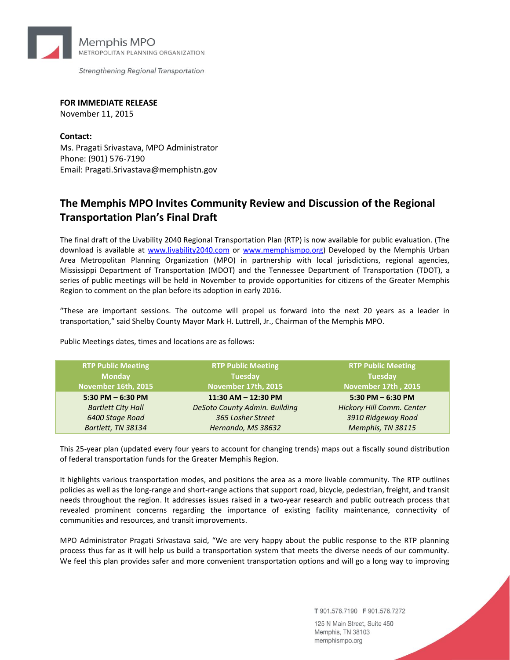

Strengthening Regional Transportation

**FOR IMMEDIATE RELEASE** November 11, 2015

**Contact:** Ms. Pragati Srivastava, MPO Administrator Phone: (901) 576-7190 Email: Pragati.Srivastava@memphistn.gov

## **The Memphis MPO Invites Community Review and Discussion of the Regional Transportation Plan's Final Draft**

The final draft of the Livability 2040 Regional Transportation Plan (RTP) is now available for public evaluation. (The download is available at [www.livability2040.com](http://www.livability2040.com/participate/) or [www.memphismpo.org\)](http://memphismpo.org/project/livability-2040-rtp) Developed by the Memphis Urban Area Metropolitan Planning Organization (MPO) in partnership with local jurisdictions, regional agencies, Mississippi Department of Transportation (MDOT) and the Tennessee Department of Transportation (TDOT), a series of public meetings will be held in November to provide opportunities for citizens of the Greater Memphis Region to comment on the plan before its adoption in early 2016.

"These are important sessions. The outcome will propel us forward into the next 20 years as a leader in transportation," said Shelby County Mayor Mark H. Luttrell, Jr., Chairman of the Memphis MPO.

Public Meetings dates, times and locations are as follows:

| <b>RTP Public Meeting</b> | <b>RTP Public Meeting</b>            | <b>RTP Public Meeting</b> |
|---------------------------|--------------------------------------|---------------------------|
| <b>Monday</b>             | <b>Tuesday</b>                       | <b>Tuesday</b>            |
| November 16th, 2015       | November 17th, 2015                  | November 17th, 2015       |
| $5:30$ PM $-6:30$ PM      | 11:30 AM - 12:30 PM                  | 5:30 PM $-$ 6:30 PM       |
| <b>Bartlett City Hall</b> | <b>DeSoto County Admin. Building</b> | Hickory Hill Comm. Center |
| 6400 Stage Road           | 365 Losher Street                    | 3910 Ridgeway Road        |
| Bartlett, TN 38134        | Hernando, MS 38632                   | Memphis, TN 38115         |

This 25-year plan (updated every four years to account for changing trends) maps out a fiscally sound distribution of federal transportation funds for the Greater Memphis Region.

It highlights various transportation modes, and positions the area as a more livable community. The RTP outlines policies as well as the long-range and short-range actions that support road, bicycle, pedestrian, freight, and transit needs throughout the region. It addresses issues raised in a two-year research and public outreach process that revealed prominent concerns regarding the importance of existing facility maintenance, connectivity of communities and resources, and transit improvements.

MPO Administrator Pragati Srivastava said, "We are very happy about the public response to the RTP planning process thus far as it will help us build a transportation system that meets the diverse needs of our community. We feel this plan provides safer and more convenient transportation options and will go a long way to improving

T 901.576.7190 F 901.576.7272

125 N Main Street, Suite 450 Memphis, TN 38103 memphismpo.org